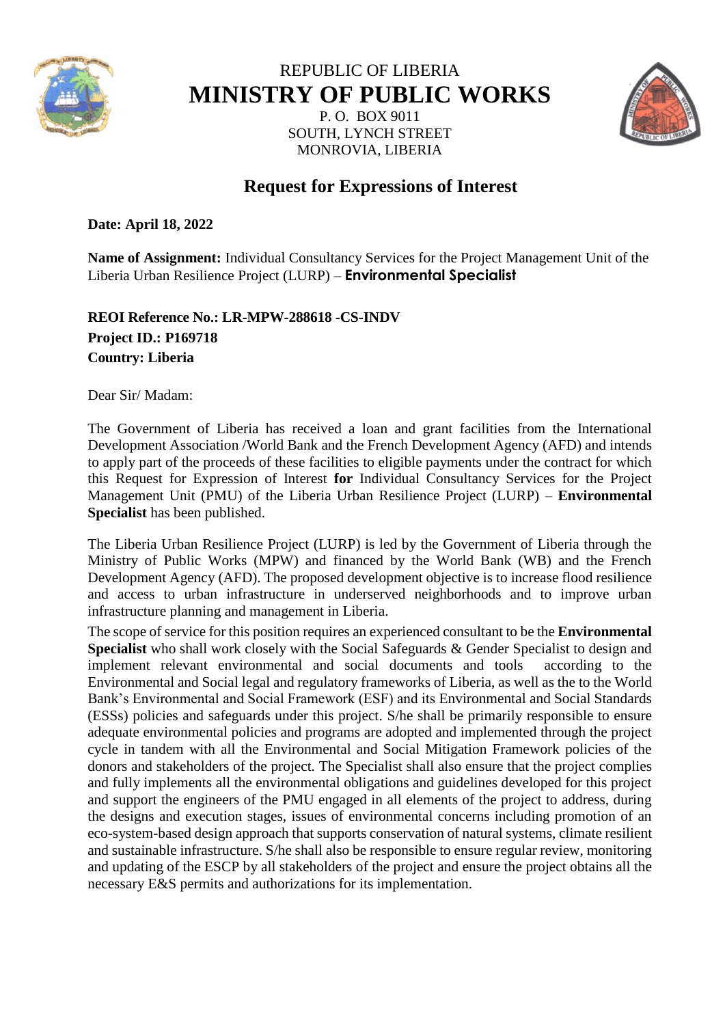

# REPUBLIC OF LIBERIA **MINISTRY OF PUBLIC WORKS**

P. O. BOX 9011 SOUTH, LYNCH STREET MONROVIA, LIBERIA



# **Request for Expressions of Interest**

**Date: April 18, 2022** 

**Name of Assignment:** Individual Consultancy Services for the Project Management Unit of the Liberia Urban Resilience Project (LURP) – **Environmental Specialist**

### **REOI Reference No.: LR-MPW-288618 -CS-INDV Project ID.: P169718 Country: Liberia**

Dear Sir/ Madam:

The Government of Liberia has received a loan and grant facilities from the International Development Association /World Bank and the French Development Agency (AFD) and intends to apply part of the proceeds of these facilities to eligible payments under the contract for which this Request for Expression of Interest **for** Individual Consultancy Services for the Project Management Unit (PMU) of the Liberia Urban Resilience Project (LURP) – **Environmental Specialist** has been published.

The Liberia Urban Resilience Project (LURP) is led by the Government of Liberia through the Ministry of Public Works (MPW) and financed by the World Bank (WB) and the French Development Agency (AFD). The proposed development objective is to increase flood resilience and access to urban infrastructure in underserved neighborhoods and to improve urban infrastructure planning and management in Liberia.

The scope of service for this position requires an experienced consultant to be the **Environmental Specialist** who shall work closely with the Social Safeguards & Gender Specialist to design and implement relevant environmental and social documents and tools according to the Environmental and Social legal and regulatory frameworks of Liberia, as well as the to the World Bank's Environmental and Social Framework (ESF) and its Environmental and Social Standards (ESSs) policies and safeguards under this project. S/he shall be primarily responsible to ensure adequate environmental policies and programs are adopted and implemented through the project cycle in tandem with all the Environmental and Social Mitigation Framework policies of the donors and stakeholders of the project. The Specialist shall also ensure that the project complies and fully implements all the environmental obligations and guidelines developed for this project and support the engineers of the PMU engaged in all elements of the project to address, during the designs and execution stages, issues of environmental concerns including promotion of an eco-system-based design approach that supports conservation of natural systems, climate resilient and sustainable infrastructure. S/he shall also be responsible to ensure regular review, monitoring and updating of the ESCP by all stakeholders of the project and ensure the project obtains all the necessary E&S permits and authorizations for its implementation.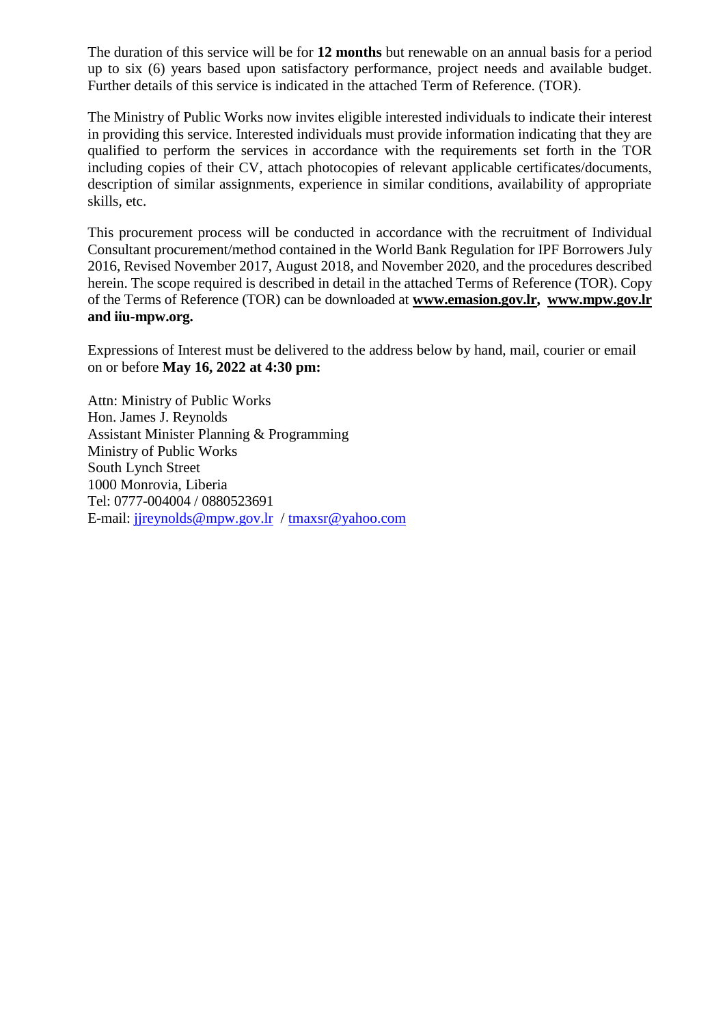The duration of this service will be for **12 months** but renewable on an annual basis for a period up to six (6) years based upon satisfactory performance, project needs and available budget. Further details of this service is indicated in the attached Term of Reference. (TOR).

The Ministry of Public Works now invites eligible interested individuals to indicate their interest in providing this service. Interested individuals must provide information indicating that they are qualified to perform the services in accordance with the requirements set forth in the TOR including copies of their CV, attach photocopies of relevant applicable certificates/documents, description of similar assignments, experience in similar conditions, availability of appropriate skills, etc.

This procurement process will be conducted in accordance with the recruitment of Individual Consultant procurement/method contained in the World Bank Regulation for IPF Borrowers July 2016, Revised November 2017, August 2018, and November 2020, and the procedures described herein. The scope required is described in detail in the attached Terms of Reference (TOR). Copy of the Terms of Reference (TOR) can be downloaded at **[www.emasion.gov.lr,](http://www.emasion.gov.lr/) [www.mpw.gov.lr](http://www.mpw.gov.lr/) and iiu-mpw.org.**

Expressions of Interest must be delivered to the address below by hand, mail, courier or email on or before **May 16, 2022 at 4:30 pm:** 

Attn: Ministry of Public Works Hon. James J. Reynolds Assistant Minister Planning & Programming Ministry of Public Works South Lynch Street 1000 Monrovia, Liberia Tel: 0777-004004 / 0880523691 E-mail: [jjreynolds@mpw.gov.lr](mailto:jjreynolds@mpw.gov.lr) / [tmaxsr@yahoo.com](mailto:tmaxsr@yahoo.com)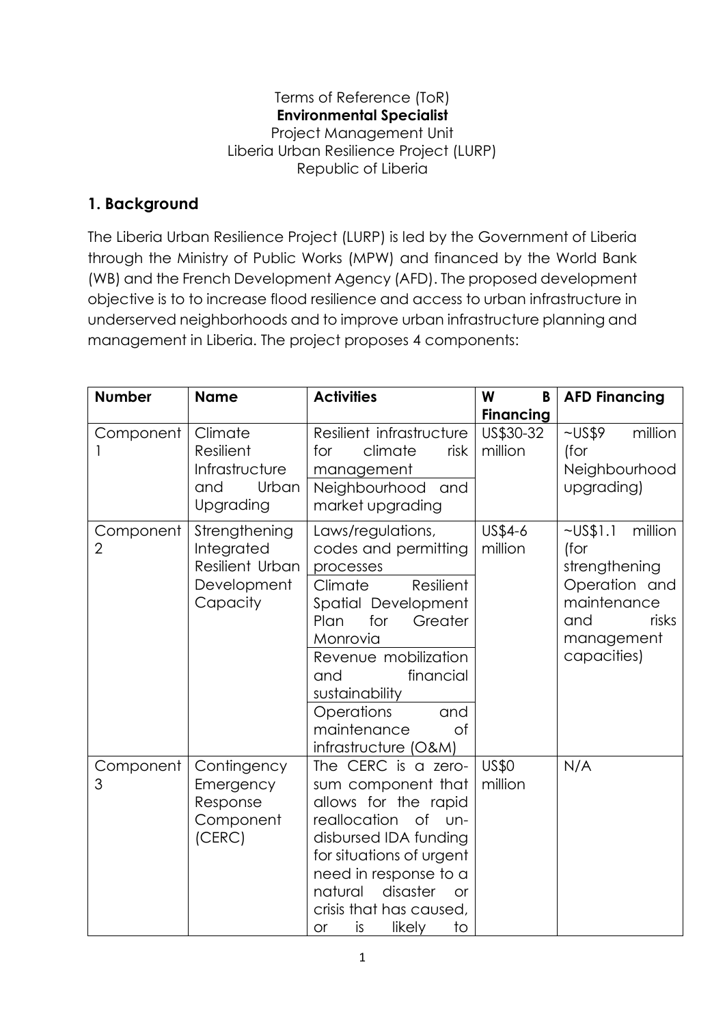#### Terms of Reference (ToR) **Environmental Specialist**  Project Management Unit Liberia Urban Resilience Project (LURP) Republic of Liberia

## **1. Background**

The Liberia Urban Resilience Project (LURP) is led by the Government of Liberia through the Ministry of Public Works (MPW) and financed by the World Bank (WB) and the French Development Agency (AFD). The proposed development objective is to to increase flood resilience and access to urban infrastructure in underserved neighborhoods and to improve urban infrastructure planning and management in Liberia. The project proposes 4 components:

| <b>Number</b>               | <b>Name</b>                                                               | <b>Activities</b>                                                                                                                                                                                                                                                                     | W<br>B                                   | <b>AFD Financing</b>                                                                                                            |
|-----------------------------|---------------------------------------------------------------------------|---------------------------------------------------------------------------------------------------------------------------------------------------------------------------------------------------------------------------------------------------------------------------------------|------------------------------------------|---------------------------------------------------------------------------------------------------------------------------------|
| Component                   | Climate<br>Resilient<br>Infrastructure<br>Urban<br>and<br>Upgrading       | Resilient infrastructure<br>climate<br>for<br>risk<br>management<br>Neighbourhood and<br>market upgrading                                                                                                                                                                             | <b>Financing</b><br>US\$30-32<br>million | $\sim USS9$<br>million<br>(for<br>Neighbourhood<br>upgrading)                                                                   |
| Component<br>$\overline{2}$ | Strengthening<br>Integrated<br>Resilient Urban<br>Development<br>Capacity | Laws/regulations,<br>codes and permitting<br>processes<br>Resilient<br>Climate<br>Spatial Development<br>for<br>Greater<br>Plan<br>Monrovia<br>Revenue mobilization<br>financial<br>and<br>sustainability<br>Operations<br>and<br>maintenance<br>0f<br>infrastructure (O&M)           | US\$4-6<br>million                       | $\sim$ US\$1.1<br>million<br>(for<br>strengthening<br>Operation and<br>maintenance<br>risks<br>and<br>management<br>capacities) |
| Component<br>3              | Contingency<br>Emergency<br>Response<br>Component<br>(CERC)               | The CERC is a zero-<br>sum component that<br>allows for the rapid<br>reallocation<br>$\circ$ f<br>-un<br>disbursed IDA funding<br>for situations of urgent<br>need in response to a<br>disaster<br>natural<br><b>or</b><br>crisis that has caused,<br>is<br>likely<br>to<br><b>or</b> | <b>US\$0</b><br>million                  | N/A                                                                                                                             |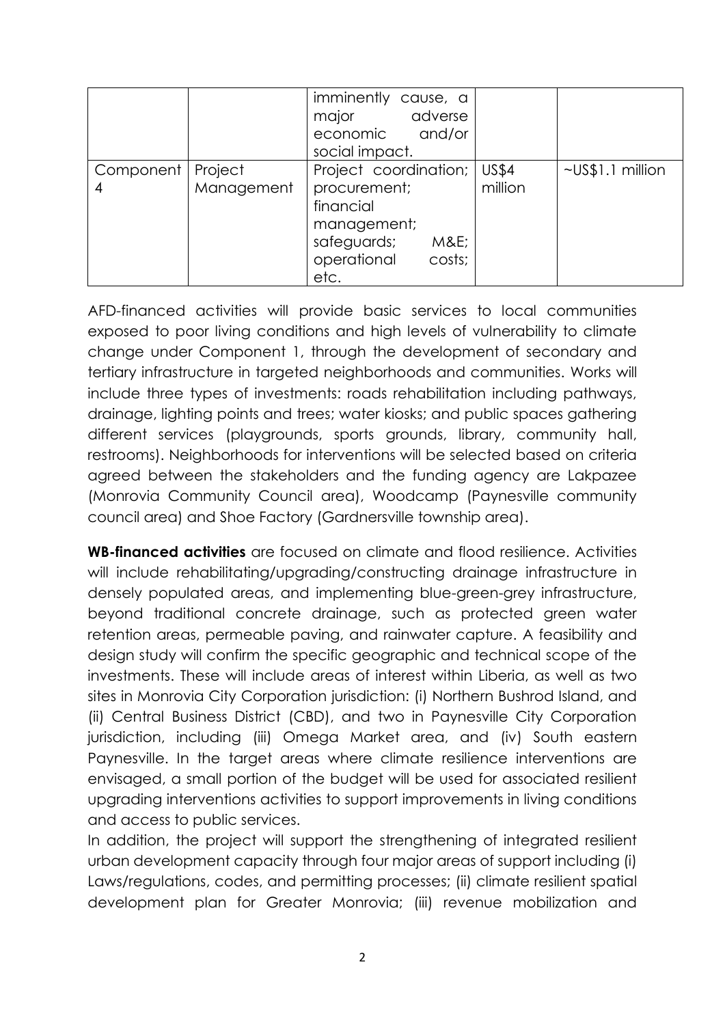|           |                       | imminently cause, a<br>adverse<br>major<br>economic and/or<br>social impact.                                             |                         |                  |
|-----------|-----------------------|--------------------------------------------------------------------------------------------------------------------------|-------------------------|------------------|
| Component | Project<br>Management | Project coordination;<br>procurement;<br>financial<br>management;<br>safeguards;<br>M&E<br>operational<br>costs;<br>etc. | <b>US\$4</b><br>million | ~US\$1.1 million |

AFD-financed activities will provide basic services to local communities exposed to poor living conditions and high levels of vulnerability to climate change under Component 1, through the development of secondary and tertiary infrastructure in targeted neighborhoods and communities. Works will include three types of investments: roads rehabilitation including pathways, drainage, lighting points and trees; water kiosks; and public spaces gathering different services (playgrounds, sports grounds, library, community hall, restrooms). Neighborhoods for interventions will be selected based on criteria agreed between the stakeholders and the funding agency are Lakpazee (Monrovia Community Council area), Woodcamp (Paynesville community council area) and Shoe Factory (Gardnersville township area).

**WB-financed activities** are focused on climate and flood resilience. Activities will include rehabilitating/upgrading/constructing drainage infrastructure in densely populated areas, and implementing blue-green-grey infrastructure, beyond traditional concrete drainage, such as protected green water retention areas, permeable paving, and rainwater capture. A feasibility and design study will confirm the specific geographic and technical scope of the investments. These will include areas of interest within Liberia, as well as two sites in Monrovia City Corporation jurisdiction: (i) Northern Bushrod Island, and (ii) Central Business District (CBD), and two in Paynesville City Corporation jurisdiction, including (iii) Omega Market area, and (iv) South eastern Paynesville. In the target areas where climate resilience interventions are envisaged, a small portion of the budget will be used for associated resilient upgrading interventions activities to support improvements in living conditions and access to public services.

In addition, the project will support the strengthening of integrated resilient urban development capacity through four major areas of support including (i) Laws/regulations, codes, and permitting processes; (ii) climate resilient spatial development plan for Greater Monrovia; (iii) revenue mobilization and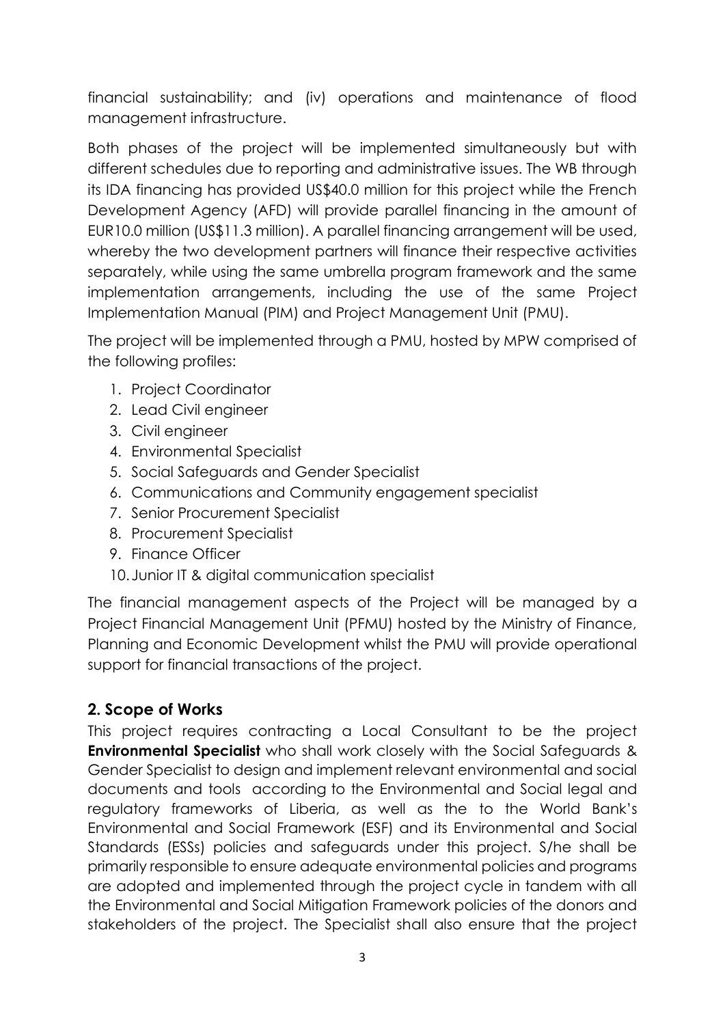financial sustainability; and (iv) operations and maintenance of flood management infrastructure.

Both phases of the project will be implemented simultaneously but with different schedules due to reporting and administrative issues. The WB through its IDA financing has provided US\$40.0 million for this project while the French Development Agency (AFD) will provide parallel financing in the amount of EUR10.0 million (US\$11.3 million). A parallel financing arrangement will be used, whereby the two development partners will finance their respective activities separately, while using the same umbrella program framework and the same implementation arrangements, including the use of the same Project Implementation Manual (PIM) and Project Management Unit (PMU).

The project will be implemented through a PMU, hosted by MPW comprised of the following profiles:

- 1. Project Coordinator
- 2. Lead Civil engineer
- 3. Civil engineer
- 4. Environmental Specialist
- 5. Social Safeguards and Gender Specialist
- 6. Communications and Community engagement specialist
- 7. Senior Procurement Specialist
- 8. Procurement Specialist
- 9. Finance Officer
- 10.Junior IT & digital communication specialist

The financial management aspects of the Project will be managed by a Project Financial Management Unit (PFMU) hosted by the Ministry of Finance, Planning and Economic Development whilst the PMU will provide operational support for financial transactions of the project.

#### **2. Scope of Works**

This project requires contracting a Local Consultant to be the project **Environmental Specialist** who shall work closely with the Social Safeguards & Gender Specialist to design and implement relevant environmental and social documents and tools according to the Environmental and Social legal and regulatory frameworks of Liberia, as well as the to the World Bank's Environmental and Social Framework (ESF) and its Environmental and Social Standards (ESSs) policies and safeguards under this project. S/he shall be primarily responsible to ensure adequate environmental policies and programs are adopted and implemented through the project cycle in tandem with all the Environmental and Social Mitigation Framework policies of the donors and stakeholders of the project. The Specialist shall also ensure that the project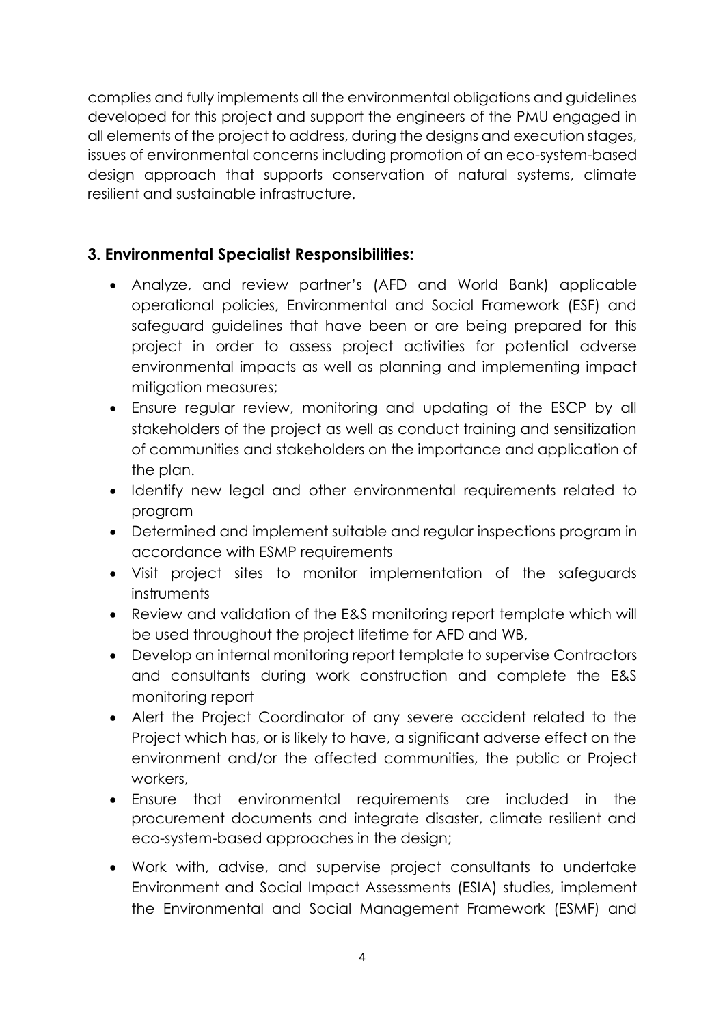complies and fully implements all the environmental obligations and guidelines developed for this project and support the engineers of the PMU engaged in all elements of the project to address, during the designs and execution stages, issues of environmental concerns including promotion of an eco-system-based design approach that supports conservation of natural systems, climate resilient and sustainable infrastructure.

### **3. Environmental Specialist Responsibilities:**

- Analyze, and review partner's (AFD and World Bank) applicable operational policies, Environmental and Social Framework (ESF) and safeguard guidelines that have been or are being prepared for this project in order to assess project activities for potential adverse environmental impacts as well as planning and implementing impact mitigation measures;
- Ensure regular review, monitoring and updating of the ESCP by all stakeholders of the project as well as conduct training and sensitization of communities and stakeholders on the importance and application of the plan.
- Identify new legal and other environmental requirements related to program
- Determined and implement suitable and regular inspections program in accordance with ESMP requirements
- Visit project sites to monitor implementation of the safeguards instruments
- Review and validation of the E&S monitoring report template which will be used throughout the project lifetime for AFD and WB,
- Develop an internal monitoring report template to supervise Contractors and consultants during work construction and complete the E&S monitoring report
- Alert the Project Coordinator of any severe accident related to the Project which has, or is likely to have, a significant adverse effect on the environment and/or the affected communities, the public or Project workers,
- Ensure that environmental requirements are included in the procurement documents and integrate disaster, climate resilient and eco-system-based approaches in the design;
- Work with, advise, and supervise project consultants to undertake Environment and Social Impact Assessments (ESIA) studies, implement the Environmental and Social Management Framework (ESMF) and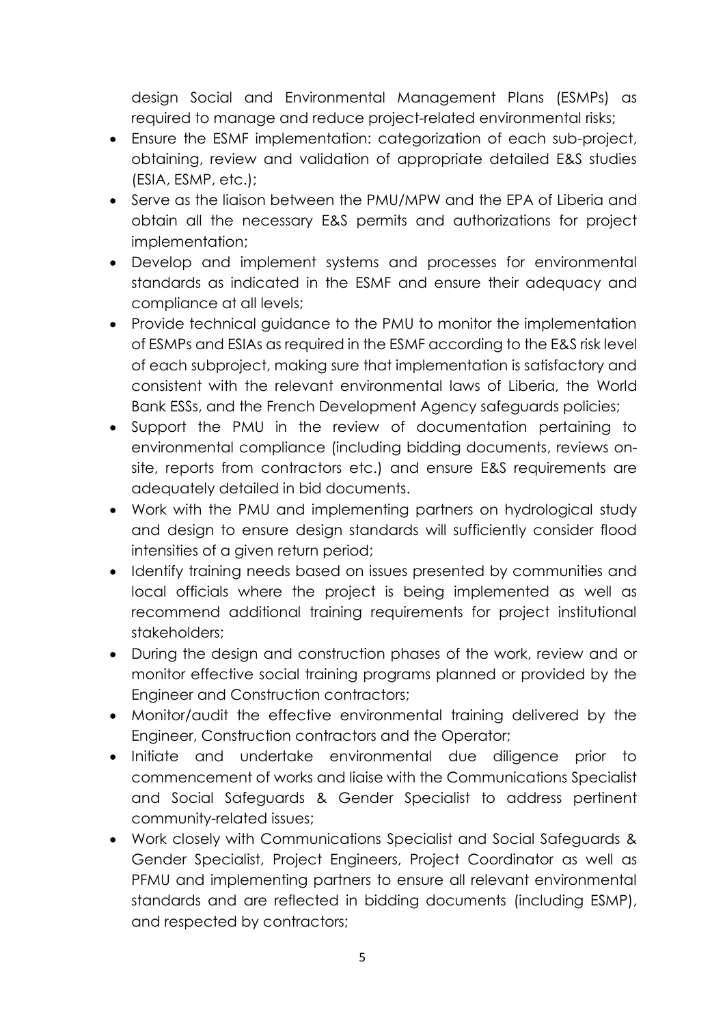design Social and Environmental Management Plans (ESMPs) as required to manage and reduce project-related environmental risks;

- Ensure the ESMF implementation: categorization of each sub-project, obtaining, review and validation of appropriate detailed E&S studies (ESIA, ESMP, etc.);
- Serve as the liaison between the PMU/MPW and the EPA of Liberia and obtain all the necessary E&S permits and authorizations for project implementation;
- Develop and implement systems and processes for environmental standards as indicated in the ESMF and ensure their adequacy and compliance at all levels;
- Provide technical guidance to the PMU to monitor the implementation of ESMPs and ESIAs as required in the ESMF according to the E&S risk level of each subproject, making sure that implementation is satisfactory and consistent with the relevant environmental laws of Liberia, the World Bank ESSs, and the French Development Agency safeguards policies;
- Support the PMU in the review of documentation pertaining to environmental compliance (including bidding documents, reviews onsite, reports from contractors etc.) and ensure E&S requirements are adequately detailed in bid documents.
- Work with the PMU and implementing partners on hydrological study and design to ensure design standards will sufficiently consider flood intensities of a given return period;
- Identify training needs based on issues presented by communities and local officials where the project is being implemented as well as recommend additional training requirements for project institutional stakeholders;
- During the design and construction phases of the work, review and or monitor effective social training programs planned or provided by the Engineer and Construction contractors;
- Monitor/audit the effective environmental training delivered by the Engineer, Construction contractors and the Operator;
- Initiate and undertake environmental due diligence prior to commencement of works and liaise with the Communications Specialist and Social Safeguards & Gender Specialist to address pertinent community-related issues;
- Work closely with Communications Specialist and Social Safeguards & Gender Specialist, Project Engineers, Project Coordinator as well as PFMU and implementing partners to ensure all relevant environmental standards and are reflected in bidding documents (including ESMP), and respected by contractors;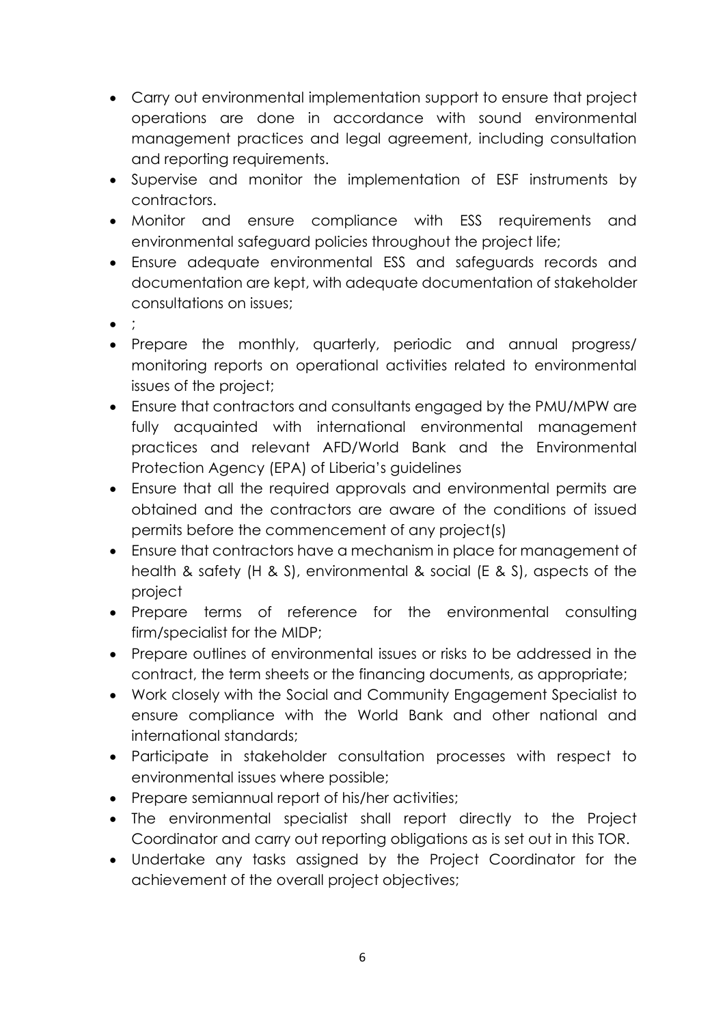- Carry out environmental implementation support to ensure that project operations are done in accordance with sound environmental management practices and legal agreement, including consultation and reporting requirements.
- Supervise and monitor the implementation of ESF instruments by contractors.
- Monitor and ensure compliance with ESS requirements and environmental safeguard policies throughout the project life;
- Ensure adequate environmental ESS and safeguards records and documentation are kept, with adequate documentation of stakeholder consultations on issues;
- $\bullet$  ;
- Prepare the monthly, quarterly, periodic and annual progress/ monitoring reports on operational activities related to environmental issues of the project;
- Ensure that contractors and consultants engaged by the PMU/MPW are fully acquainted with international environmental management practices and relevant AFD/World Bank and the Environmental Protection Agency (EPA) of Liberia's guidelines
- Ensure that all the required approvals and environmental permits are obtained and the contractors are aware of the conditions of issued permits before the commencement of any project(s)
- Ensure that contractors have a mechanism in place for management of health & safety (H & S), environmental & social (E & S), aspects of the project
- Prepare terms of reference for the environmental consulting firm/specialist for the MIDP;
- Prepare outlines of environmental issues or risks to be addressed in the contract, the term sheets or the financing documents, as appropriate;
- Work closely with the Social and Community Engagement Specialist to ensure compliance with the World Bank and other national and international standards;
- Participate in stakeholder consultation processes with respect to environmental issues where possible;
- Prepare semiannual report of his/her activities;
- The environmental specialist shall report directly to the Project Coordinator and carry out reporting obligations as is set out in this TOR.
- Undertake any tasks assigned by the Project Coordinator for the achievement of the overall project objectives;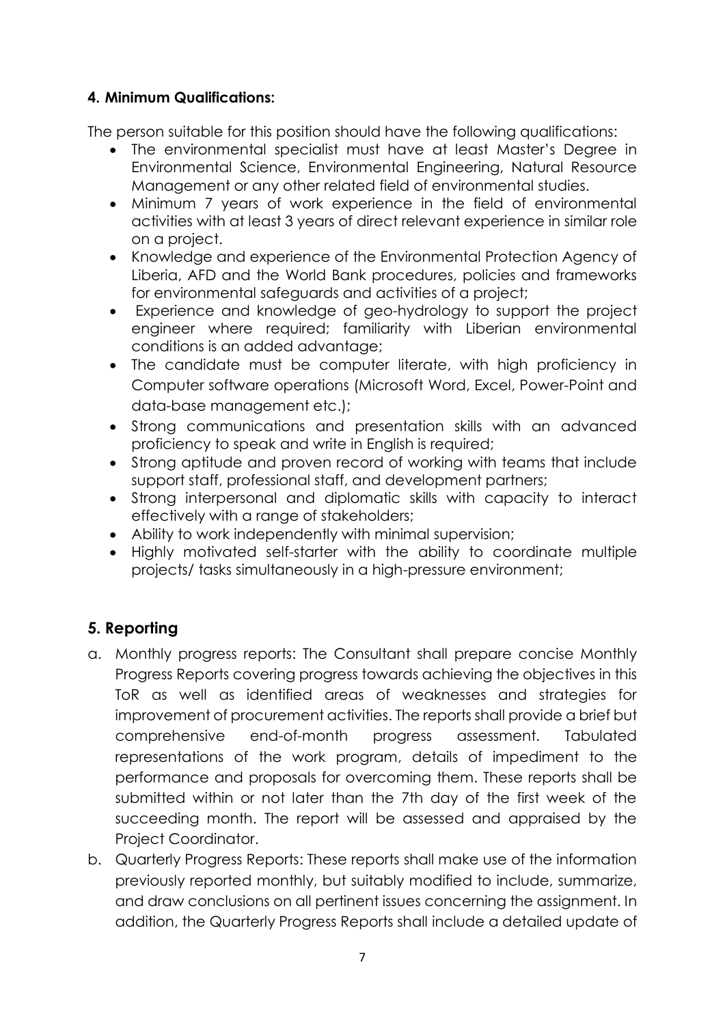#### **4. Minimum Qualifications:**

The person suitable for this position should have the following qualifications:

- The environmental specialist must have at least Master's Degree in Environmental Science, Environmental Engineering, Natural Resource Management or any other related field of environmental studies.
- Minimum 7 years of work experience in the field of environmental activities with at least 3 years of direct relevant experience in similar role on a project.
- Knowledge and experience of the Environmental Protection Agency of Liberia, AFD and the World Bank procedures, policies and frameworks for environmental safeguards and activities of a project;
- Experience and knowledge of geo-hydrology to support the project engineer where required; familiarity with Liberian environmental conditions is an added advantage;
- The candidate must be computer literate, with high proficiency in Computer software operations (Microsoft Word, Excel, Power-Point and data-base management etc.);
- Strong communications and presentation skills with an advanced proficiency to speak and write in English is required;
- Strong aptitude and proven record of working with teams that include support staff, professional staff, and development partners;
- Strong interpersonal and diplomatic skills with capacity to interact effectively with a range of stakeholders;
- Ability to work independently with minimal supervision;
- Highly motivated self-starter with the ability to coordinate multiple projects/ tasks simultaneously in a high-pressure environment;

# **5. Reporting**

- a. Monthly progress reports: The Consultant shall prepare concise Monthly Progress Reports covering progress towards achieving the objectives in this ToR as well as identified areas of weaknesses and strategies for improvement of procurement activities. The reports shall provide a brief but comprehensive end-of-month progress assessment. Tabulated representations of the work program, details of impediment to the performance and proposals for overcoming them. These reports shall be submitted within or not later than the 7th day of the first week of the succeeding month. The report will be assessed and appraised by the Project Coordinator.
- b. Quarterly Progress Reports: These reports shall make use of the information previously reported monthly, but suitably modified to include, summarize, and draw conclusions on all pertinent issues concerning the assignment. In addition, the Quarterly Progress Reports shall include a detailed update of